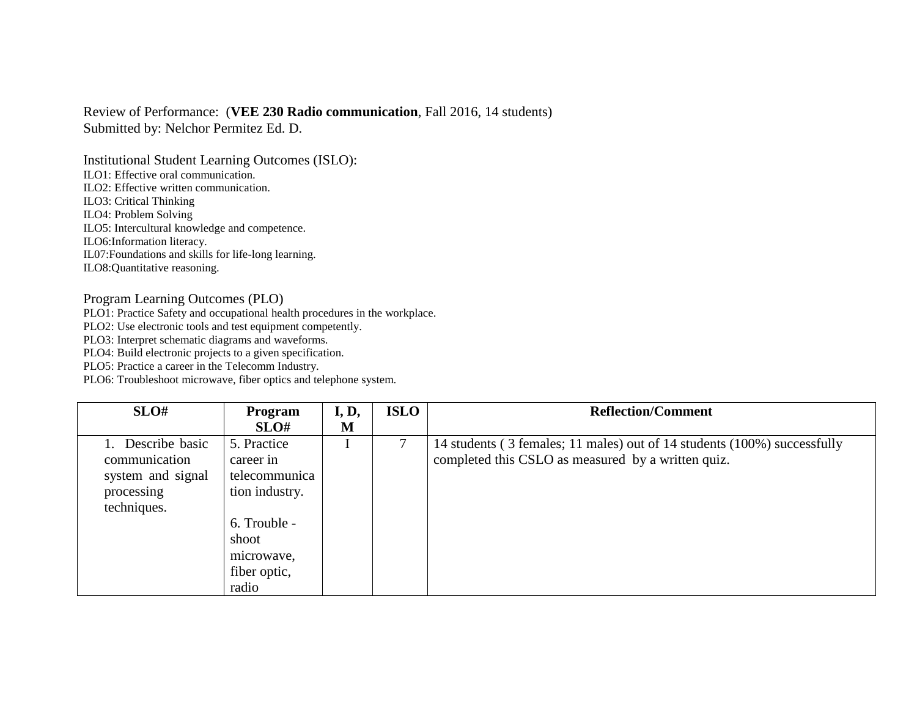## Review of Performance: (**VEE 230 Radio communication**, Fall 2016, 14 students) Submitted by: Nelchor Permitez Ed. D.

Institutional Student Learning Outcomes (ISLO): ILO1: Effective oral communication. ILO2: Effective written communication. ILO3: Critical Thinking ILO4: Problem Solving ILO5: Intercultural knowledge and competence.

ILO6:Information literacy.

IL07:Foundations and skills for life-long learning.

ILO8:Quantitative reasoning.

## Program Learning Outcomes (PLO)

PLO1: Practice Safety and occupational health procedures in the workplace.

PLO2: Use electronic tools and test equipment competently.

PLO3: Interpret schematic diagrams and waveforms.

PLO4: Build electronic projects to a given specification.

PLO5: Practice a career in the Telecomm Industry.

PLO6: Troubleshoot microwave, fiber optics and telephone system.

| SLO#              | Program        | I, D, | <b>ISLO</b> | <b>Reflection/Comment</b>                                                |
|-------------------|----------------|-------|-------------|--------------------------------------------------------------------------|
|                   | SLO#           | M     |             |                                                                          |
| Describe basic    | 5. Practice    |       |             | 14 students (3 females; 11 males) out of 14 students (100%) successfully |
| communication     | career in      |       |             | completed this CSLO as measured by a written quiz.                       |
| system and signal | telecommunica  |       |             |                                                                          |
| processing        | tion industry. |       |             |                                                                          |
| techniques.       |                |       |             |                                                                          |
|                   | 6. Trouble -   |       |             |                                                                          |
|                   | shoot          |       |             |                                                                          |
|                   | microwave,     |       |             |                                                                          |
|                   | fiber optic,   |       |             |                                                                          |
|                   | radio          |       |             |                                                                          |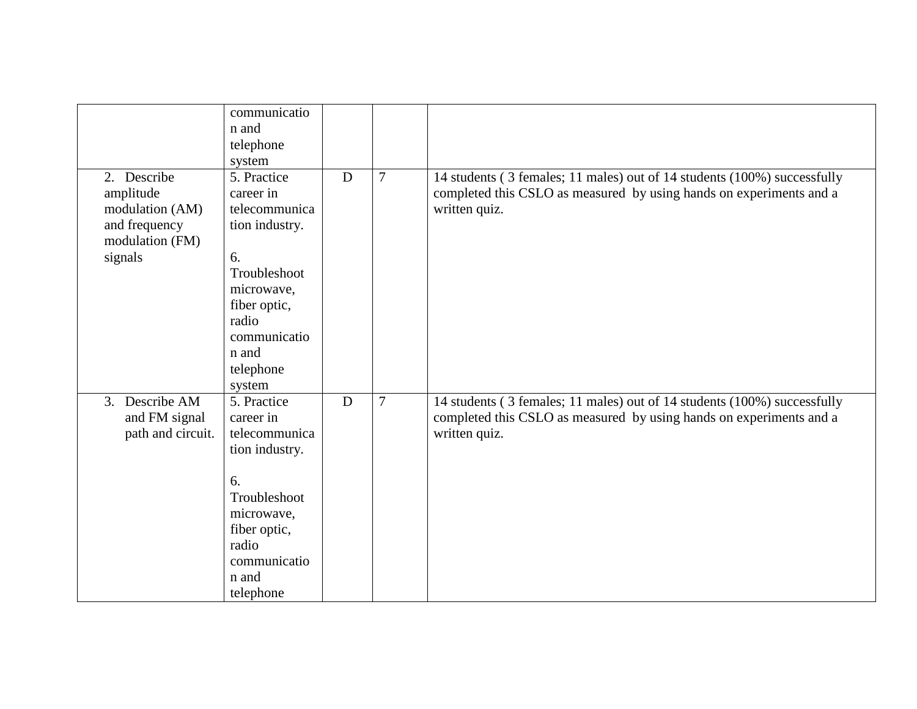|                   | communicatio   |             |                |                                                                          |
|-------------------|----------------|-------------|----------------|--------------------------------------------------------------------------|
|                   | n and          |             |                |                                                                          |
|                   | telephone      |             |                |                                                                          |
|                   | system         |             |                |                                                                          |
| 2. Describe       | 5. Practice    | $\mathbf D$ | 7              | 14 students (3 females; 11 males) out of 14 students (100%) successfully |
| amplitude         | career in      |             |                | completed this CSLO as measured by using hands on experiments and a      |
| modulation (AM)   | telecommunica  |             |                | written quiz.                                                            |
| and frequency     | tion industry. |             |                |                                                                          |
| modulation (FM)   |                |             |                |                                                                          |
| signals           | 6.             |             |                |                                                                          |
|                   | Troubleshoot   |             |                |                                                                          |
|                   | microwave,     |             |                |                                                                          |
|                   | fiber optic,   |             |                |                                                                          |
|                   | radio          |             |                |                                                                          |
|                   | communicatio   |             |                |                                                                          |
|                   | n and          |             |                |                                                                          |
|                   | telephone      |             |                |                                                                          |
|                   |                |             |                |                                                                          |
| 3. Describe AM    | system         | D           | $\overline{7}$ |                                                                          |
|                   | 5. Practice    |             |                | 14 students (3 females; 11 males) out of 14 students (100%) successfully |
| and FM signal     | career in      |             |                | completed this CSLO as measured by using hands on experiments and a      |
| path and circuit. | telecommunica  |             |                | written quiz.                                                            |
|                   | tion industry. |             |                |                                                                          |
|                   |                |             |                |                                                                          |
|                   | 6.             |             |                |                                                                          |
|                   | Troubleshoot   |             |                |                                                                          |
|                   | microwave,     |             |                |                                                                          |
|                   | fiber optic,   |             |                |                                                                          |
|                   | radio          |             |                |                                                                          |
|                   | communicatio   |             |                |                                                                          |
|                   | n and          |             |                |                                                                          |
|                   | telephone      |             |                |                                                                          |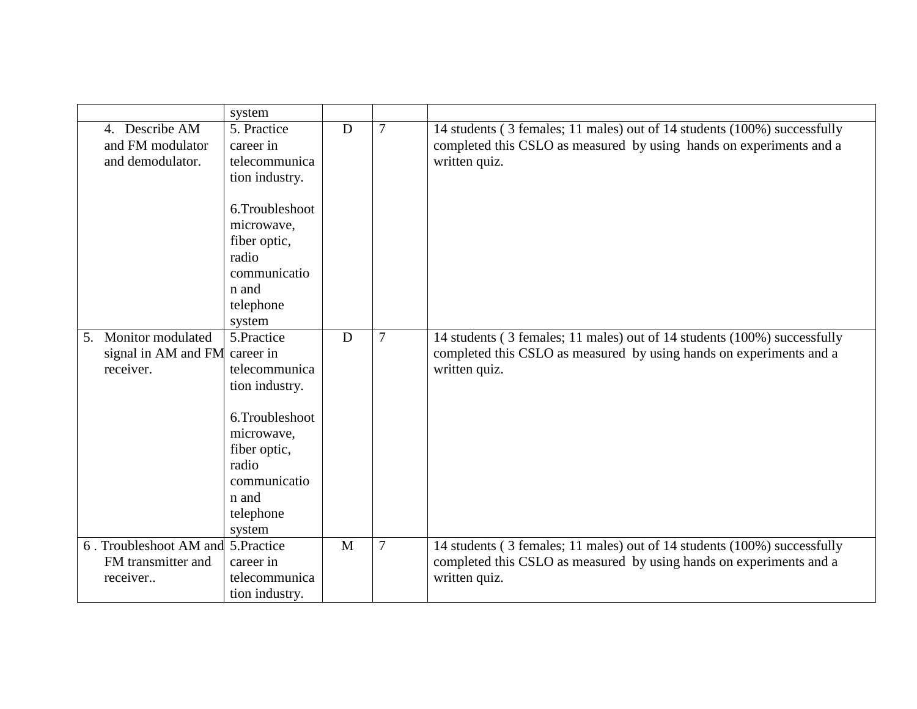|    |                                | system                     |   |        |                                                                                                                                                                  |
|----|--------------------------------|----------------------------|---|--------|------------------------------------------------------------------------------------------------------------------------------------------------------------------|
|    | 4. Describe AM                 | 5. Practice                | D | 7      | 14 students (3 females; 11 males) out of 14 students (100%) successfully                                                                                         |
|    | and FM modulator               | career in                  |   |        | completed this CSLO as measured by using hands on experiments and a                                                                                              |
|    | and demodulator.               | telecommunica              |   |        | written quiz.                                                                                                                                                    |
|    |                                | tion industry.             |   |        |                                                                                                                                                                  |
|    |                                |                            |   |        |                                                                                                                                                                  |
|    |                                | 6.Troubleshoot             |   |        |                                                                                                                                                                  |
|    |                                | microwave,                 |   |        |                                                                                                                                                                  |
|    |                                | fiber optic,               |   |        |                                                                                                                                                                  |
|    |                                | radio                      |   |        |                                                                                                                                                                  |
|    |                                | communicatio               |   |        |                                                                                                                                                                  |
|    |                                | n and                      |   |        |                                                                                                                                                                  |
|    |                                | telephone                  |   |        |                                                                                                                                                                  |
|    |                                | system                     |   |        |                                                                                                                                                                  |
|    | Monitor modulated              | 5.Practice                 | D | 7      |                                                                                                                                                                  |
| 5. |                                |                            |   |        | 14 students (3 females; 11 males) out of 14 students (100%) successfully                                                                                         |
|    | signal in AM and FM career in  |                            |   |        | completed this CSLO as measured by using hands on experiments and a                                                                                              |
|    | receiver.                      | telecommunica              |   |        | written quiz.                                                                                                                                                    |
|    |                                | tion industry.             |   |        |                                                                                                                                                                  |
|    |                                |                            |   |        |                                                                                                                                                                  |
|    |                                | 6.Troubleshoot             |   |        |                                                                                                                                                                  |
|    |                                | microwave,                 |   |        |                                                                                                                                                                  |
|    |                                | fiber optic,               |   |        |                                                                                                                                                                  |
|    |                                | radio                      |   |        |                                                                                                                                                                  |
|    |                                | communicatio               |   |        |                                                                                                                                                                  |
|    |                                | n and                      |   |        |                                                                                                                                                                  |
|    |                                | telephone                  |   |        |                                                                                                                                                                  |
|    |                                | system                     |   |        |                                                                                                                                                                  |
|    | 6. Troubleshoot AM and         | 5.Practice                 | M | $\tau$ |                                                                                                                                                                  |
|    |                                |                            |   |        |                                                                                                                                                                  |
|    |                                |                            |   |        |                                                                                                                                                                  |
|    |                                | tion industry.             |   |        |                                                                                                                                                                  |
|    | FM transmitter and<br>receiver | career in<br>telecommunica |   |        | 14 students (3 females; 11 males) out of 14 students (100%) successfully<br>completed this CSLO as measured by using hands on experiments and a<br>written quiz. |
|    |                                |                            |   |        |                                                                                                                                                                  |